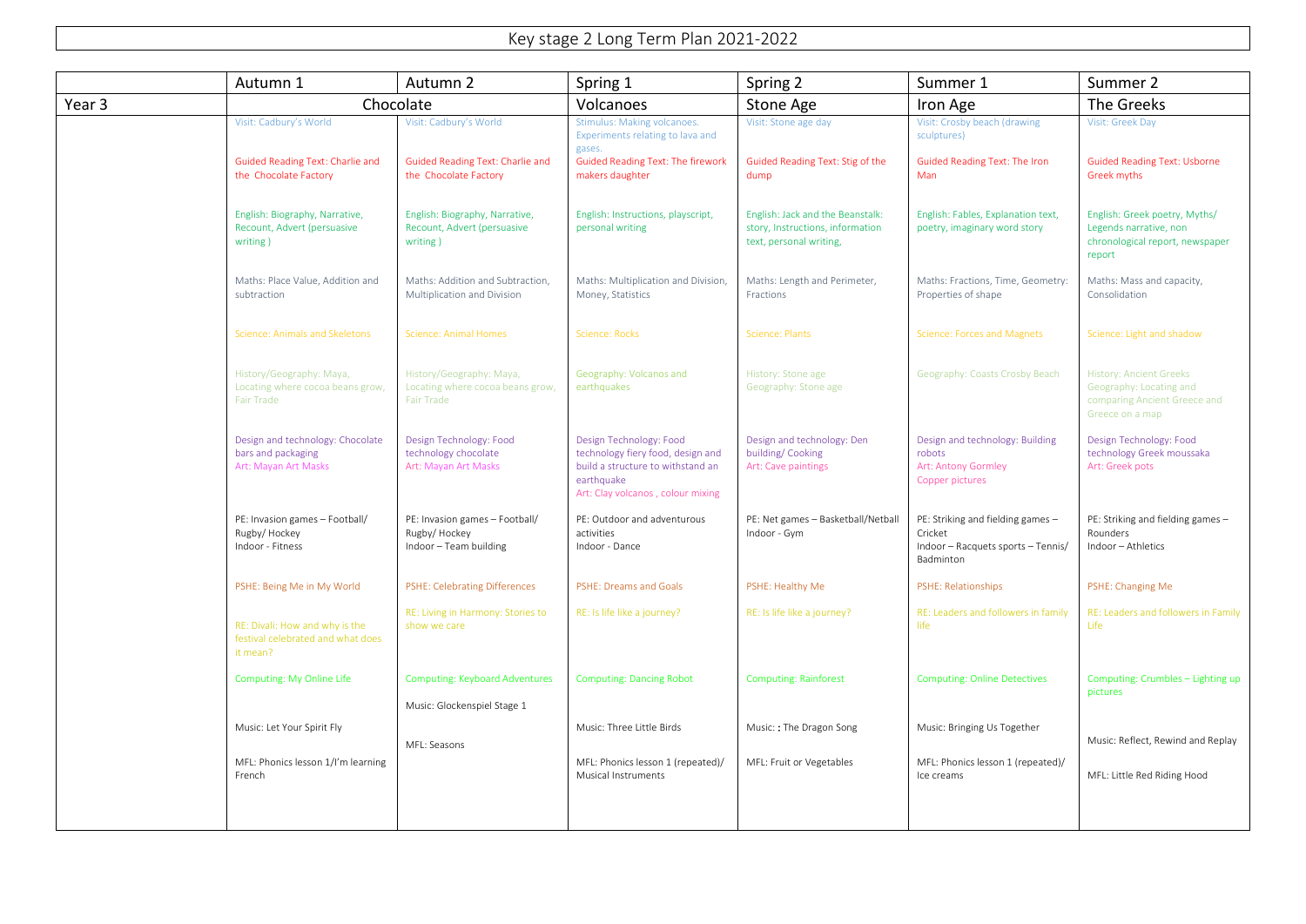## Key stage 2 Long Term Plan 2021-2022

|                   | Autumn 1                                                                          | Autumn 2                                                                          | Spring 1                                                                                                                                             | Spring 2                                                                                        | Summer 1                                                                                        | Summer 2                                                                                                     |
|-------------------|-----------------------------------------------------------------------------------|-----------------------------------------------------------------------------------|------------------------------------------------------------------------------------------------------------------------------------------------------|-------------------------------------------------------------------------------------------------|-------------------------------------------------------------------------------------------------|--------------------------------------------------------------------------------------------------------------|
| Year <sub>3</sub> |                                                                                   | Chocolate                                                                         | Volcanoes                                                                                                                                            | Stone Age                                                                                       | Iron Age                                                                                        | The Greeks                                                                                                   |
|                   | Visit: Cadbury's World                                                            | Visit: Cadbury's World                                                            | Stimulus: Making volcanoes.<br>Experiments relating to lava and<br>gases.                                                                            | Visit: Stone age day                                                                            | Visit: Crosby beach (drawing<br>sculptures)                                                     | Visit: Greek Day                                                                                             |
|                   | <b>Guided Reading Text: Charlie and</b><br>the Chocolate Factory                  | <b>Guided Reading Text: Charlie and</b><br>the Chocolate Factory                  | <b>Guided Reading Text: The firework</b><br>makers daughter                                                                                          | Guided Reading Text: Stig of the<br>dump                                                        | Guided Reading Text: The Iron<br>Man                                                            | <b>Guided Reading Text: Usborne</b><br>Greek myths                                                           |
|                   | English: Biography, Narrative,<br>Recount, Advert (persuasive<br>writing)         | English: Biography, Narrative,<br>Recount, Advert (persuasive<br>writing)         | English: Instructions, playscript,<br>personal writing                                                                                               | English: Jack and the Beanstalk:<br>story, Instructions, information<br>text, personal writing, | English: Fables, Explanation text,<br>poetry, imaginary word story                              | English: Greek poetry, Myths/<br>Legends narrative, non<br>chronological report, newspaper<br>report         |
|                   | Maths: Place Value, Addition and<br>subtraction                                   | Maths: Addition and Subtraction.<br>Multiplication and Division                   | Maths: Multiplication and Division,<br>Money, Statistics                                                                                             | Maths: Length and Perimeter,<br>Fractions                                                       | Maths: Fractions, Time, Geometry:<br>Properties of shape                                        | Maths: Mass and capacity,<br>Consolidation                                                                   |
|                   | Science: Animals and Skeletons                                                    | <b>Science: Animal Homes</b>                                                      | Science: Rocks                                                                                                                                       | Science: Plants                                                                                 | Science: Forces and Magnets                                                                     | Science: Light and shadow                                                                                    |
|                   | History/Geography: Maya,<br>Locating where cocoa beans grow,<br><b>Fair Trade</b> | History/Geography: Maya,<br>Locating where cocoa beans grow,<br><b>Fair Trade</b> | Geography: Volcanos and<br>earthquakes                                                                                                               | History: Stone age<br>Geography: Stone age                                                      | Geography: Coasts Crosby Beach                                                                  | <b>History: Ancient Greeks</b><br>Geography: Locating and<br>comparing Ancient Greece and<br>Greece on a map |
|                   | Design and technology: Chocolate<br>bars and packaging<br>Art: Mayan Art Masks    | Design Technology: Food<br>technology chocolate<br>Art: Mayan Art Masks           | Design Technology: Food<br>technology fiery food, design and<br>build a structure to withstand an<br>earthquake<br>Art: Clay volcanos, colour mixing | Design and technology: Den<br>building/Cooking<br>Art: Cave paintings                           | Design and technology: Building<br>robots<br>Art: Antony Gormley<br>Copper pictures             | Design Technology: Food<br>technology Greek moussaka<br>Art: Greek pots                                      |
|                   | PE: Invasion games - Football/<br>Rugby/Hockey<br>Indoor - Fitness                | PE: Invasion games - Football/<br>Rugby/Hockey<br>Indoor - Team building          | PE: Outdoor and adventurous<br>activities<br>Indoor - Dance                                                                                          | PE: Net games - Basketball/Netball<br>Indoor - Gym                                              | PE: Striking and fielding games -<br>Cricket<br>Indoor - Racquets sports - Tennis/<br>Badminton | PE: Striking and fielding games -<br>Rounders<br>Indoor - Athletics                                          |
|                   | PSHE: Being Me in My World                                                        | <b>PSHE: Celebrating Differences</b>                                              | PSHE: Dreams and Goals                                                                                                                               | PSHE: Healthy Me                                                                                | PSHE: Relationships                                                                             | PSHE: Changing Me                                                                                            |
|                   | RE: Divali: How and why is the<br>festival celebrated and what does<br>it mean?   | RE: Living in Harmony: Stories to<br>show we care                                 | RE: Is life like a journey?                                                                                                                          | RE: Is life like a journey?                                                                     | RE: Leaders and followers in family<br>life                                                     | RE: Leaders and followers in Family<br>Life                                                                  |
|                   | Computing: My Online Life                                                         | <b>Computing: Keyboard Adventures</b>                                             | <b>Computing: Dancing Robot</b>                                                                                                                      | <b>Computing: Rainforest</b>                                                                    | <b>Computing: Online Detectives</b>                                                             | Computing: Crumbles - Lighting up<br>pictures                                                                |
|                   | Music: Let Your Spirit Fly                                                        | Music: Glockenspiel Stage 1<br>MFL: Seasons                                       | Music: Three Little Birds                                                                                                                            | Music:: The Dragon Song                                                                         | Music: Bringing Us Together                                                                     | Music: Reflect, Rewind and Replay                                                                            |
|                   | MFL: Phonics lesson 1/I'm learning<br>French                                      |                                                                                   | MFL: Phonics lesson 1 (repeated)/<br><b>Musical Instruments</b>                                                                                      | MFL: Fruit or Vegetables                                                                        | MFL: Phonics lesson 1 (repeated)/<br>Ice creams                                                 | MFL: Little Red Riding Hood                                                                                  |
|                   |                                                                                   |                                                                                   |                                                                                                                                                      |                                                                                                 |                                                                                                 |                                                                                                              |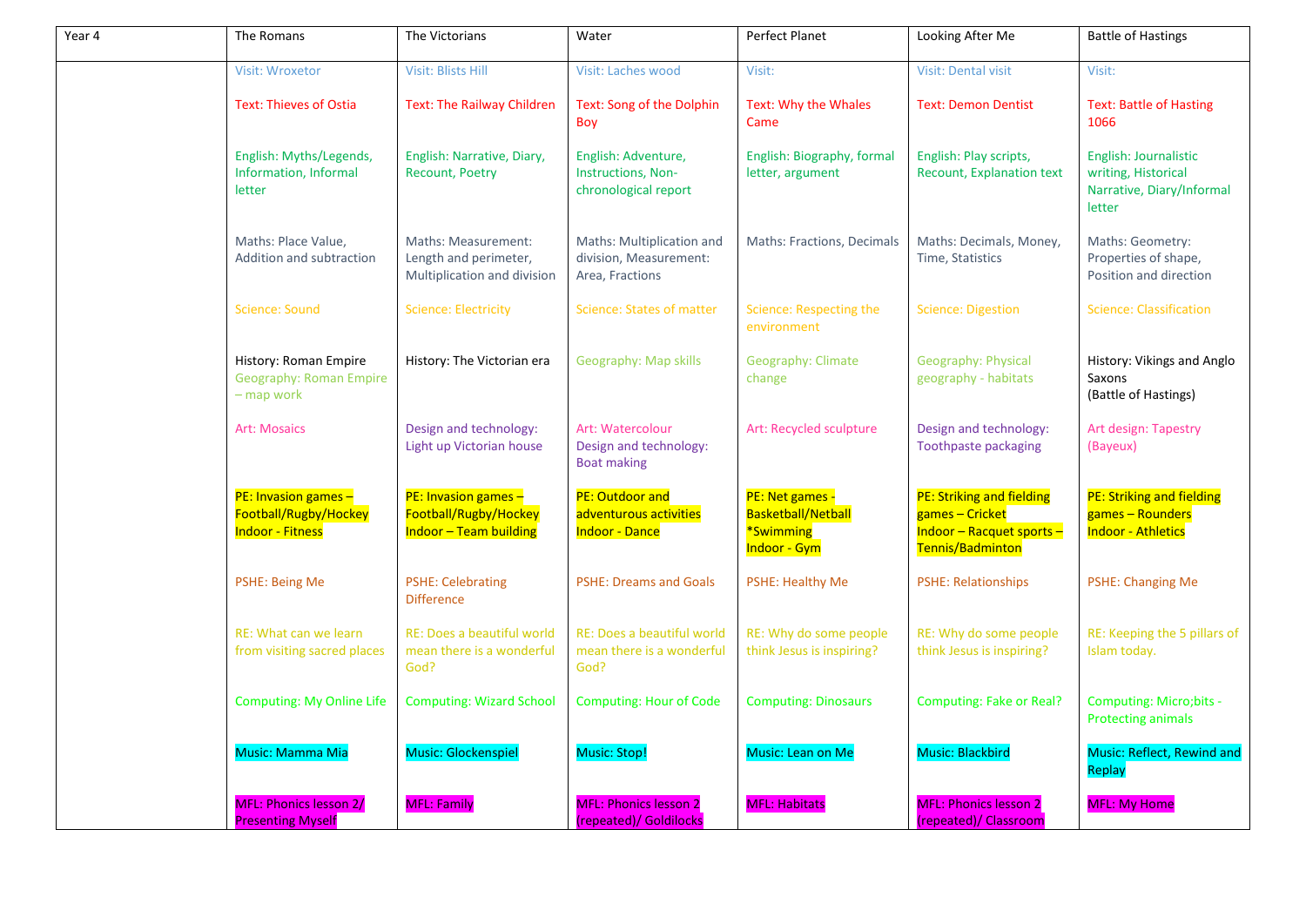| Year 4 | The Romans                                                                 | The Victorians                                                                 | Water                                                                  | Perfect Planet                                                     | Looking After Me                                                                              | <b>Battle of Hastings</b>                                                           |
|--------|----------------------------------------------------------------------------|--------------------------------------------------------------------------------|------------------------------------------------------------------------|--------------------------------------------------------------------|-----------------------------------------------------------------------------------------------|-------------------------------------------------------------------------------------|
|        | Visit: Wroxetor                                                            | <b>Visit: Blists Hill</b>                                                      | Visit: Laches wood                                                     | Visit:                                                             | <b>Visit: Dental visit</b>                                                                    | Visit:                                                                              |
|        | <b>Text: Thieves of Ostia</b>                                              | <b>Text: The Railway Children</b>                                              | Text: Song of the Dolphin<br>Boy                                       | Text: Why the Whales<br>Came                                       | <b>Text: Demon Dentist</b>                                                                    | <b>Text: Battle of Hasting</b><br>1066                                              |
|        | English: Myths/Legends,<br>Information, Informal<br>letter                 | English: Narrative, Diary,<br><b>Recount, Poetry</b>                           | English: Adventure,<br>Instructions, Non-<br>chronological report      | English: Biography, formal<br>letter, argument                     | English: Play scripts,<br><b>Recount, Explanation text</b>                                    | English: Journalistic<br>writing, Historical<br>Narrative, Diary/Informal<br>letter |
|        | Maths: Place Value,<br>Addition and subtraction                            | Maths: Measurement:<br>Length and perimeter,<br>Multiplication and division    | Maths: Multiplication and<br>division, Measurement:<br>Area, Fractions | Maths: Fractions, Decimals                                         | Maths: Decimals, Money,<br>Time, Statistics                                                   | Maths: Geometry:<br>Properties of shape,<br>Position and direction                  |
|        | <b>Science: Sound</b>                                                      | <b>Science: Electricity</b>                                                    | Science: States of matter                                              | Science: Respecting the<br>environment                             | <b>Science: Digestion</b>                                                                     | <b>Science: Classification</b>                                                      |
|        | History: Roman Empire<br><b>Geography: Roman Empire</b><br>- map work      | History: The Victorian era                                                     | Geography: Map skills                                                  | <b>Geography: Climate</b><br>change                                | <b>Geography: Physical</b><br>geography - habitats                                            | History: Vikings and Anglo<br>Saxons<br>(Battle of Hastings)                        |
|        | <b>Art: Mosaics</b>                                                        | Design and technology:<br>Light up Victorian house                             | Art: Watercolour<br>Design and technology:<br><b>Boat making</b>       | Art: Recycled sculpture                                            | Design and technology:<br>Toothpaste packaging                                                | Art design: Tapestry<br>(Bayeux)                                                    |
|        | $PE: Invasion games -$<br>Football/Rugby/Hockey<br><b>Indoor - Fitness</b> | PE: Invasion games -<br>Football/Rugby/Hockey<br><b>Indoor - Team building</b> | PE: Outdoor and<br>adventurous activities<br><b>Indoor - Dance</b>     | PE: Net games -<br>Basketball/Netball<br>*Swimming<br>Indoor - Gym | PE: Striking and fielding<br>games - Cricket<br>Indoor - Racquet sports -<br>Tennis/Badminton | <b>PE: Striking and fielding</b><br>games - Rounders<br><b>Indoor - Athletics</b>   |
|        | <b>PSHE: Being Me</b>                                                      | <b>PSHE: Celebrating</b><br><b>Difference</b>                                  | <b>PSHE: Dreams and Goals</b>                                          | PSHE: Healthy Me                                                   | <b>PSHE: Relationships</b>                                                                    | <b>PSHE: Changing Me</b>                                                            |
|        | RE: What can we learn<br>from visiting sacred places                       | RE: Does a beautiful world<br>mean there is a wonderful<br>God?                | RE: Does a beautiful world<br>mean there is a wonderful<br>God?        | RE: Why do some people<br>think Jesus is inspiring?                | RE: Why do some people<br>think Jesus is inspiring?                                           | RE: Keeping the 5 pillars of<br>Islam today.                                        |
|        | <b>Computing: My Online Life</b>                                           | <b>Computing: Wizard School</b>                                                | <b>Computing: Hour of Code</b>                                         | <b>Computing: Dinosaurs</b>                                        | Computing: Fake or Real?                                                                      | Computing: Micro; bits -<br><b>Protecting animals</b>                               |
|        | Music: Mamma Mia                                                           | Music: Glockenspiel                                                            | Music: Stop!                                                           | Music: Lean on Me                                                  | Music: Blackbird                                                                              | Music: Reflect, Rewind and<br>Replay                                                |
|        | <b>MFL: Phonics lesson 2/</b><br><b>Presenting Myself</b>                  | <b>MFL: Family</b>                                                             | <b>MFL: Phonics lesson 2</b><br>(repeated)/ Goldilocks                 | <b>MFL: Habitats</b>                                               | <b>MFL: Phonics lesson 2</b><br>(repeated)/ Classroom                                         | <b>MFL: My Home</b>                                                                 |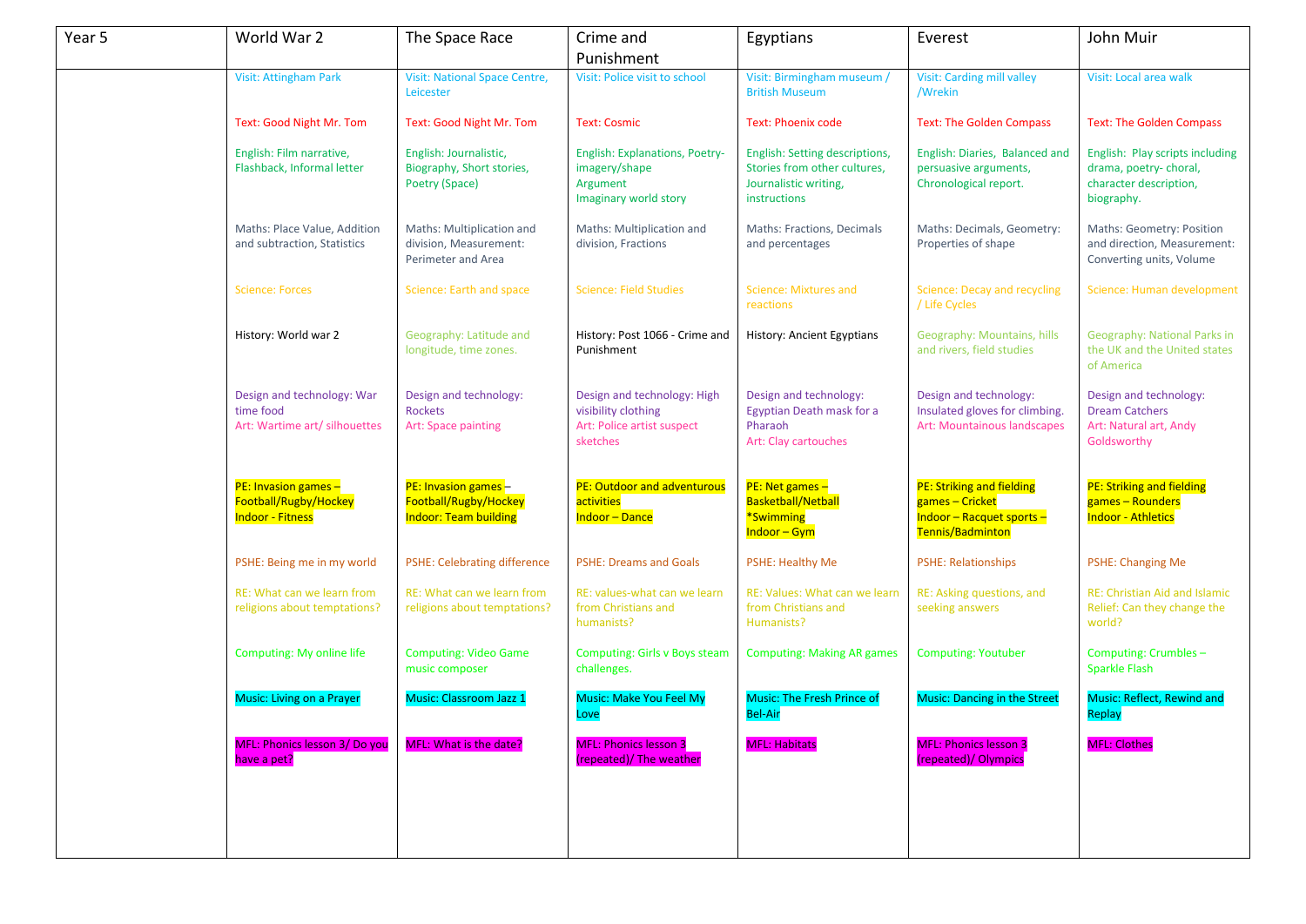| Year 5 | World War 2                                                              | The Space Race                                                               | Crime and<br>Punishment                                                                      | Egyptians                                                                                               | Everest                                                                                       | John Muir                                                                                        |
|--------|--------------------------------------------------------------------------|------------------------------------------------------------------------------|----------------------------------------------------------------------------------------------|---------------------------------------------------------------------------------------------------------|-----------------------------------------------------------------------------------------------|--------------------------------------------------------------------------------------------------|
|        | <b>Visit: Attingham Park</b>                                             | <b>Visit: National Space Centre,</b><br>Leicester                            | Visit: Police visit to school                                                                | Visit: Birmingham museum /<br><b>British Museum</b>                                                     | <b>Visit: Carding mill valley</b><br>/Wrekin                                                  | Visit: Local area walk                                                                           |
|        | Text: Good Night Mr. Tom                                                 | Text: Good Night Mr. Tom                                                     | <b>Text: Cosmic</b>                                                                          | <b>Text: Phoenix code</b>                                                                               | <b>Text: The Golden Compass</b>                                                               | <b>Text: The Golden Compass</b>                                                                  |
|        | English: Film narrative,<br>Flashback, Informal letter                   | English: Journalistic,<br>Biography, Short stories,<br>Poetry (Space)        | <b>English: Explanations, Poetry-</b><br>imagery/shape<br>Argument<br>Imaginary world story  | English: Setting descriptions,<br>Stories from other cultures,<br>Journalistic writing,<br>instructions | English: Diaries, Balanced and<br>persuasive arguments,<br>Chronological report.              | English: Play scripts including<br>drama, poetry-choral,<br>character description,<br>biography. |
|        | Maths: Place Value, Addition<br>and subtraction, Statistics              | Maths: Multiplication and<br>division, Measurement:<br>Perimeter and Area    | Maths: Multiplication and<br>division, Fractions                                             | Maths: Fractions, Decimals<br>and percentages                                                           | Maths: Decimals, Geometry:<br>Properties of shape                                             | Maths: Geometry: Position<br>and direction, Measurement:<br>Converting units, Volume             |
|        | <b>Science: Forces</b>                                                   | Science: Earth and space                                                     | <b>Science: Field Studies</b>                                                                | Science: Mixtures and<br>reactions                                                                      | Science: Decay and recycling<br>/ Life Cycles                                                 | Science: Human development                                                                       |
|        | History: World war 2                                                     | Geography: Latitude and<br>longitude, time zones.                            | History: Post 1066 - Crime and<br>Punishment                                                 | History: Ancient Egyptians                                                                              | Geography: Mountains, hills<br>and rivers, field studies                                      | Geography: National Parks in<br>the UK and the United states<br>of America                       |
|        | Design and technology: War<br>time food<br>Art: Wartime art/ silhouettes | Design and technology:<br>Rockets<br>Art: Space painting                     | Design and technology: High<br>visibility clothing<br>Art: Police artist suspect<br>sketches | Design and technology:<br>Egyptian Death mask for a<br>Pharaoh<br>Art: Clay cartouches                  | Design and technology:<br>Insulated gloves for climbing.<br>Art: Mountainous landscapes       | Design and technology:<br><b>Dream Catchers</b><br>Art: Natural art, Andy<br>Goldsworthy         |
|        | PE: Invasion games -<br>Football/Rugby/Hockey<br><b>Indoor - Fitness</b> | PE: Invasion games-<br>Football/Rugby/Hockey<br><b>Indoor: Team building</b> | PE: Outdoor and adventurous<br>activities<br><b>Indoor-Dance</b>                             | $PE:$ Net games $-$<br>Basketball/Netball<br>*Swimming<br><b>Indoor – Gym</b>                           | PE: Striking and fielding<br>games - Cricket<br>Indoor - Racquet sports -<br>Tennis/Badminton | PE: Striking and fielding<br>games - Rounders<br><b>Indoor - Athletics</b>                       |
|        | PSHE: Being me in my world                                               | <b>PSHE: Celebrating difference</b>                                          | <b>PSHE: Dreams and Goals</b>                                                                | <b>PSHE: Healthy Me</b>                                                                                 | <b>PSHE: Relationships</b>                                                                    | <b>PSHE: Changing Me</b>                                                                         |
|        | RE: What can we learn from<br>religions about temptations?               | RE: What can we learn from<br>religions about temptations?                   | RE: values-what can we learn<br>from Christians and<br>humanists?                            | RE: Values: What can we learn<br>from Christians and<br>Humanists?                                      | RE: Asking questions, and<br>seeking answers                                                  | <b>RE: Christian Aid and Islamic</b><br>Relief: Can they change the<br>world?                    |
|        | Computing: My online life                                                | <b>Computing: Video Game</b><br>music composer                               | <b>Computing: Girls v Boys steam</b><br>challenges.                                          | <b>Computing: Making AR games</b>                                                                       | <b>Computing: Youtuber</b>                                                                    | Computing: Crumbles -<br>Sparkle Flash                                                           |
|        | Music: Living on a Prayer                                                | Music: Classroom Jazz 1                                                      | Music: Make You Feel My<br>Love                                                              | <b>Music: The Fresh Prince of</b><br><b>Bel-Air</b>                                                     | <b>Music: Dancing in the Street</b>                                                           | Music: Reflect, Rewind and<br>Replay                                                             |
|        | MFL: Phonics lesson 3/ Do you<br>have a pet?                             | <b>MFL: What is the date?</b>                                                | <b>MFL: Phonics lesson 3</b><br>(repeated)/ The weather                                      | <b>MFL: Habitats</b>                                                                                    | <b>MFL: Phonics lesson 3</b><br>(repeated)/ Olympics                                          | <b>MFL: Clothes</b>                                                                              |
|        |                                                                          |                                                                              |                                                                                              |                                                                                                         |                                                                                               |                                                                                                  |
|        |                                                                          |                                                                              |                                                                                              |                                                                                                         |                                                                                               |                                                                                                  |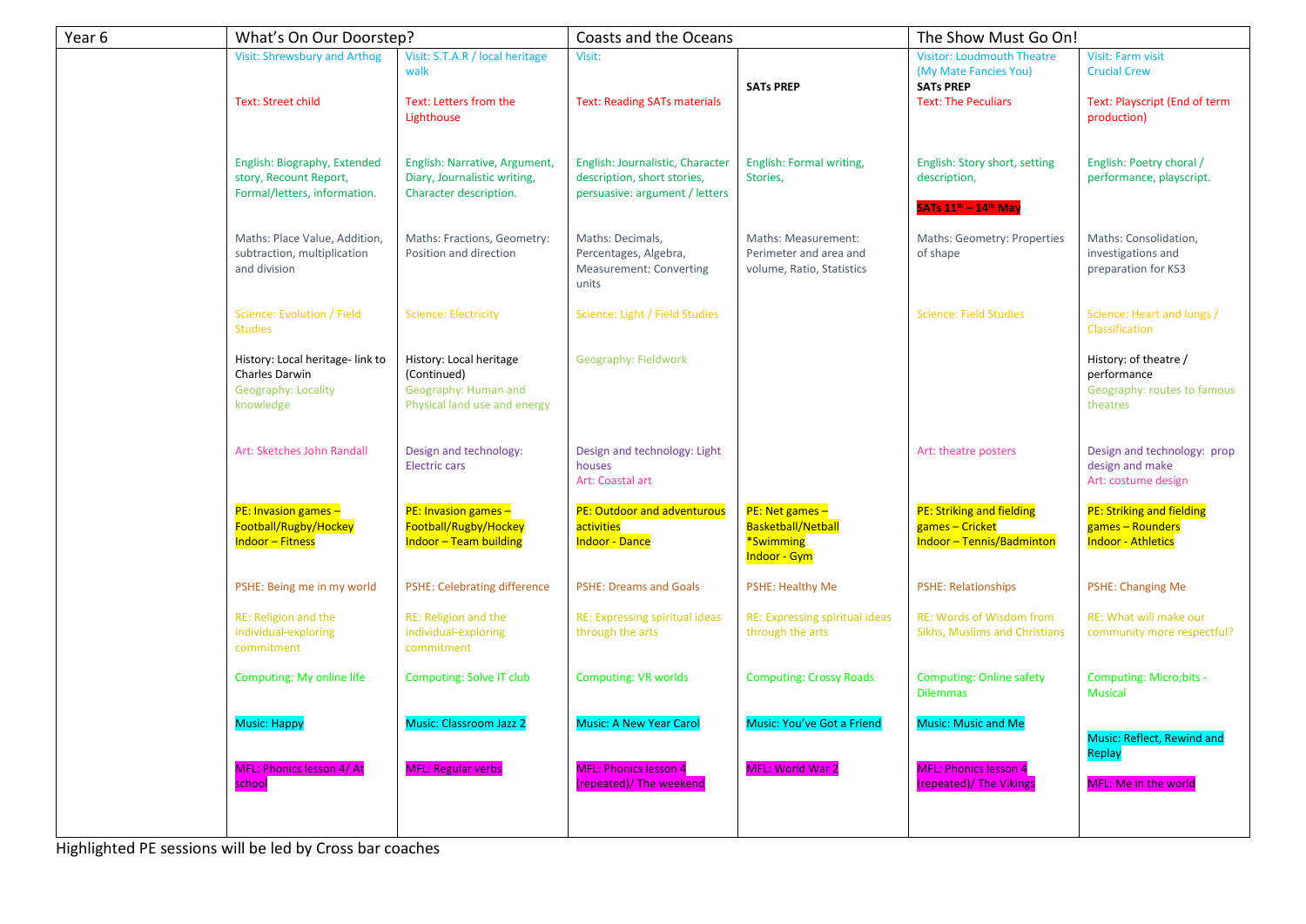| Year 6 | What's On Our Doorstep?                                                                |                                                                                                | Coasts and the Oceans                                                                             |                                                                                  | The Show Must Go On!                                                                                         |                                                                                                 |
|--------|----------------------------------------------------------------------------------------|------------------------------------------------------------------------------------------------|---------------------------------------------------------------------------------------------------|----------------------------------------------------------------------------------|--------------------------------------------------------------------------------------------------------------|-------------------------------------------------------------------------------------------------|
|        | <b>Visit: Shrewsbury and Arthog</b><br><b>Text: Street child</b>                       | Visit: S.T.A.R / local heritage<br>walk<br>Text: Letters from the<br>Lighthouse                | Visit:<br><b>Text: Reading SATs materials</b>                                                     | <b>SATs PREP</b>                                                                 | <b>Visitor: Loudmouth Theatre</b><br>(My Mate Fancies You)<br><b>SATs PREP</b><br><b>Text: The Peculiars</b> | <b>Visit: Farm visit</b><br><b>Crucial Crew</b><br>Text: Playscript (End of term<br>production) |
|        | English: Biography, Extended<br>story, Recount Report,<br>Formal/letters, information. | English: Narrative, Argument,<br>Diary, Journalistic writing,<br>Character description.        | English: Journalistic, Character<br>description, short stories,<br>persuasive: argument / letters | English: Formal writing,<br>Stories,                                             | English: Story short, setting<br>description,<br>SATs 11 <sup>th</sup> – 14 <sup>th</sup> May                | English: Poetry choral /<br>performance, playscript.                                            |
|        | Maths: Place Value, Addition,<br>subtraction, multiplication<br>and division           | Maths: Fractions, Geometry:<br>Position and direction                                          | Maths: Decimals,<br>Percentages, Algebra,<br><b>Measurement: Converting</b><br>units              | Maths: Measurement:<br>Perimeter and area and<br>volume, Ratio, Statistics       | Maths: Geometry: Properties<br>of shape                                                                      | Maths: Consolidation,<br>investigations and<br>preparation for KS3                              |
|        | Science: Evolution / Field<br><b>Studies</b>                                           | <b>Science: Electricity</b>                                                                    | Science: Light / Field Studies                                                                    |                                                                                  | <b>Science: Field Studies</b>                                                                                | Science: Heart and lungs /<br>Classification                                                    |
|        | History: Local heritage-link to<br>Charles Darwin<br>Geography: Locality<br>knowledge  | History: Local heritage<br>(Continued)<br>Geography: Human and<br>Physical land use and energy | Geography: Fieldwork                                                                              |                                                                                  |                                                                                                              | History: of theatre /<br>performance<br>Geography: routes to famous<br>theatres                 |
|        | Art: Sketches John Randall                                                             | Design and technology:<br><b>Electric cars</b>                                                 | Design and technology: Light<br>houses<br>Art: Coastal art                                        |                                                                                  | Art: theatre posters                                                                                         | Design and technology: prop<br>design and make<br>Art: costume design                           |
|        | PE: Invasion games $-$<br>Football/Rugby/Hockey<br><b>Indoor - Fitness</b>             | $PE: Invasion games -$<br>Football/Rugby/Hockey<br><b>Indoor - Team building</b>               | <b>PE: Outdoor and adventurous</b><br>activities<br><b>Indoor - Dance</b>                         | PE: Net games -<br><b>Basketball/Netball</b><br>*Swimming<br><b>Indoor - Gym</b> | <b>PE: Striking and fielding</b><br>games - Cricket<br><b>Indoor-Tennis/Badminton</b>                        | <b>PE: Striking and fielding</b><br>games - Rounders<br><b>Indoor - Athletics</b>               |
|        | PSHE: Being me in my world                                                             | <b>PSHE: Celebrating difference</b>                                                            | <b>PSHE: Dreams and Goals</b>                                                                     | <b>PSHE: Healthy Me</b>                                                          | <b>PSHE: Relationships</b>                                                                                   | <b>PSHE: Changing Me</b>                                                                        |
|        | RE: Religion and the<br>individual-exploring<br>commitment                             | RE: Religion and the<br>individual-exploring<br>commitment                                     | RE: Expressing spiritual ideas<br>through the arts                                                | RE: Expressing spiritual ideas<br>through the arts                               | <b>RE: Words of Wisdom from</b><br>Sikhs, Muslims and Christians                                             | RE: What will make our<br>community more respectful?                                            |
|        | Computing: My online life                                                              | Computing: Solve IT club                                                                       | <b>Computing: VR worlds</b>                                                                       | <b>Computing: Crossy Roads</b>                                                   | <b>Computing: Online safety</b><br><b>Dilemmas</b>                                                           | Computing: Micro; bits -<br><b>Musical</b>                                                      |
|        | <b>Music: Happy</b>                                                                    | Music: Classroom Jazz 2                                                                        | <b>Music: A New Year Carol</b>                                                                    | Music: You've Got a Friend                                                       | <b>Music: Music and Me</b>                                                                                   | <b>Music: Reflect, Rewind and</b>                                                               |
|        | MFL: Phonics lesson 4/ At<br>school                                                    | <b>MFL: Regular verbs</b>                                                                      | <b>MFL: Phonics lesson 4</b><br>(repeated)/ The weekend                                           | <b>MFL: World War 2</b>                                                          | <b>MFL: Phonics lesson 4</b><br>(repeated)/ The Vikings                                                      | Replay<br><b>MFL: Me in the world</b>                                                           |
|        |                                                                                        |                                                                                                |                                                                                                   |                                                                                  |                                                                                                              |                                                                                                 |

Highlighted PE sessions will be led by Cross bar coaches